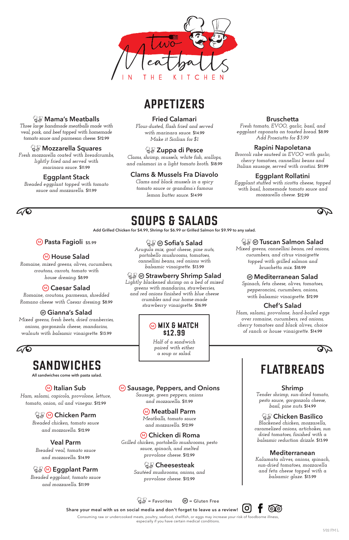

## **APPETIZERS**

# **SOUPS & SALADS**

**Add Grilled Chicken for \$4.99, Shrimp for \$6.99 or Grilled Salmon for \$9.99 to any salad.**

# **All sandwiches come with pasta salad. FLATBREADS**

 **Mama's Meatballs**  *Three large handmade meatballs made with veal, pork, and beef topped with homemade tomato sauce and parmesan cheese.* \$12.99

 **Mozzarella Squares** *Fresh mozzarella coated with breadcrumbs, lightly fried and served with marinara sauce.* \$11.99

**Eggplant Stack**  *Breaded eggplant topped with tomato sauce and mozzarella.* \$11.99

### **Fried Calamari**

*Flour-dusted, flash fried and served with marinara sauce.* \$14.99 *Make it Sicilian for \$1*

### **Zuppa di Pesce**

*Clams, shrimp, mussels, white fish, scallops, and calamari in a light tomato broth.* \$18.99

## **Clams & Mussels Fra Diavolo**

*Clams and black mussels in a spicy tomato sauce or grandma's famous lemon butter sauce.* \$14.99

### **Bruschetta**

*Fresh tomato, EVOO, garlic, basil, and eggplant caponata on toasted bread.* \$8.99 *Add Prosciutto for \$3.99*

### **Rapini Napoletana**

*Broccoli rabe sauteed in EVOO with garlic, cherry tomatoes, cannellini beans and Italian sausage, served with crostini.* \$11.99

## **Eggplant Rollatini**

*Eggplant stuffed with ricotta cheese, topped with basil, homemade tomato sauce and mozzarella cheese.* \$12.99



## $\mathcal{L}\!/\!\mathcal{O}$

## **<sup>M</sup> Pasta Fagioli \$5.99**

**IO Share your meal with us on social media and don't forget to leave us a review!** 

## **<sup>M</sup> House Salad**

*Romaine, mixed greens, olives, cucumbers, croutons, carrots, tomato with house dressing.* \$8.99

## **<sup>M</sup> Caesar Salad**

*Romaine, croutons, parmesan, shredded Romano cheese with Caesar dressing.* \$8.99

### **Gianna's Salad**

*Mixed greens, fresh beets, dried cranberries, onions, gorgonzola cheese, mandarins, walnuts with balsamic vinaigrette.* \$13.99



# **SANDWICHES**<br>All sandwiches come with pasta salad.

 **Sofia's Salad** *Arugula mix, goat cheese, pine nuts,* 

*portobello mushrooms, tomatoes, cannellini beans, red onions with balsamic vinaigrette.* \$13.99

## **Strawberry Shrimp Salad**

*Lightly blackened shrimp on a bed of mixed greens with mandarins, strawberries, and red onions finished with blue cheese crumbles and our home-made strawberry vinaigrette.* \$16.99

## **Tuscan Salmon Salad**

*Mixed greens, cannellini beans, red onions, cucumbers, and citrus vinaigrette topped with grilled salmon and bruschetta mix.* \$18.99

## **Mediterranean Salad**

*Spinach, feta cheese, olives, tomatoes, pepperoncini, cucumbers, onions, with balsamic vinaigrette.* \$12.99

## **Chef's Salad**

*Ham, salami, provolone, hard-boiled eggs over romaine, cucumbers, red onions, cherry tomatoes and black olives, choice of ranch or house vinaigrette.* \$14.99





### **<sup>M</sup> MIX & MATCH \$12.99**

*Half of a sandwich paired with either a soup or salad.*

### **<sup>M</sup> Italian Sub**

*Ham, salami, capicola, provolone, lettuce,* 

*tomato, onion, oil and vinegar.* \$12.99

**<sup>M</sup> Chicken Parm** 

*Breaded chicken, tomato sauce and mozzarella.* \$12.99

### **Veal Parm**

*Breaded veal, tomato sauce and mozzarella.* \$14.99

## **<sup>M</sup> Eggplant Parm**

*Breaded eggplant, tomato sauce and mozzarella.* \$11.99

## **<sup>M</sup> Sausage, Peppers, and Onions**

*Sausage, green peppers, onions*

*and mozzarella.* \$11.99

**<sup>M</sup> Meatball Parm** *Meatballs, tomato sauce and mozzarella.* \$12.99

## **<sup>M</sup> Chicken di Roma**

*Grilled chicken, portobello mushrooms, pesto sauce, spinach, and melted provolone cheese.* \$12.99

### **Cheesesteak**

*Sautéed mushrooms, onions, and provolone cheese.* \$12.99

**Shrimp**  *Tender shrimp, sun-dried tomato,* 

*pesto sauce, gorgonzola cheese, basil, pine nuts.* \$14.99

 **Chicken Basilico**  *Blackened chicken, mozzarella, caramelized onions, artichokes, sun dried tomatoes, finished with a balsamic reduction drizzle.* \$13.99

### **Mediterranean**

*Kalamata olives, onions, spinach, sun-dried tomatoes, mozzarella and feta cheese topped with a balsamic glaze.* \$13.99

 $\mathbb{G}^{\mathbb{Z}}_{\mathbb{F}}$  = Favorites  $\qquad$  GF = Gluten Free